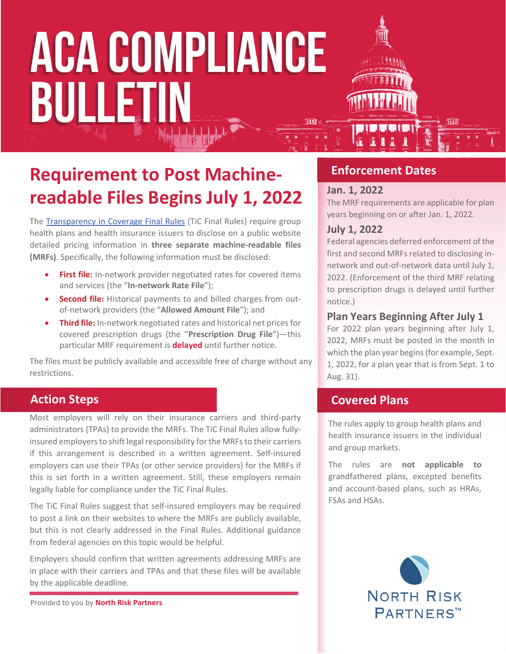# **ACA COMPLIANCE** BULLETIN

## **Requirement to Post Machinereadable Files Begins July 1, 2022**

The Transparency in Coverage Final Rules (TiC Final Rules) require group health plans and health insurance issuers to disclose on a public website detailed pricing information in **three separate machine-readable files (MRFs)**. Specifically, the following information must be disclosed:

- **First file:** In-network provider negotiated rates for covered items and services (the "**In-network Rate File**");
- **Second file:** Historical payments to and billed charges from outof-network providers (the "**Allowed Amount File**"); and
- **Third file:** In-network negotiated rates and historical net prices for covered prescription drugs (the "**Prescription Drug File**")—this particular MRF requirement is **delayed** until further notice.

The files must be publicly available and accessible free of charge without any restrictions.

## **Action Steps**

Most employers will rely on their insurance carriers and third-party administrators (TPAs) to provide the MRFs. The TiC Final Rules allow fullyinsured employers to shift legal responsibility for the MRFs to their carriers if this arrangement is described in a written agreement. Self-insured employers can use their TPAs (or other service providers) for the MRFs if this is set forth in a written agreement. Still, these employers remain legally liable for compliance under the TiC Final Rules.

The TiC Final Rules suggest that self-insured employers may be required to post a link on their websites to where the MRFs are publicly available, but this is not clearly addressed in the Final Rules. Additional guidance from federal agencies on this topic would be helpful.

Employers should confirm that written agreements addressing MRFs are in place with their carriers and TPAs and that these files will be available by the applicable deadline.

Provided to you by **North Risk Partners**

## **Enforcement Dates**

### **Jan. 1, 2022**

The MRF requirements are applicable for plan years beginning on or after Jan. 1, 2022.

## **July 1, 2022**

Federal agencies deferred enforcement of the first and second MRFs related to disclosing innetwork and out-of-network data until July 1, 2022. (Enforcement of the third MRF relating to prescription drugs is delayed until further notice.)

## **Plan Years Beginning After July 1**

For 2022 plan years beginning after July 1, 2022, MRFs must be posted in the month in which the plan year begins (for example, Sept. 1, 2022, for a plan year that is from Sept. 1 to Aug. 31).

## **Covered Plans**

The rules apply to group health plans and health insurance issuers in the individual and group markets.

The rules are **not applicable to** grandfathered plans, excepted benefits and account-based plans, such as HRAs, FSAs and HSAs.

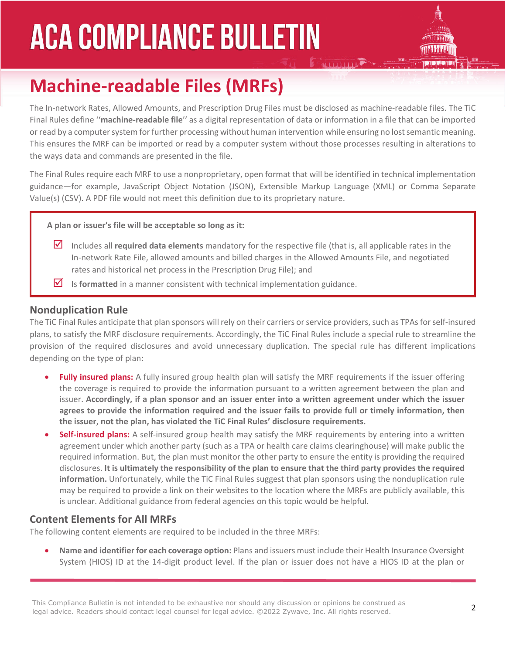## **ACA COMPLIANCE BULLETIN**



## **Machine-readable Files (MRFs)**

The In-network Rates, Allowed Amounts, and Prescription Drug Files must be disclosed as machine-readable files. The TiC Final Rules define ''**machine-readable file**'' as a digital representation of data or information in a file that can be imported or read by a computer system for further processing without human intervention while ensuring no lost semantic meaning. This ensures the MRF can be imported or read by a computer system without those processes resulting in alterations to the ways data and commands are presented in the file.

The Final Rules require each MRF to use a nonproprietary, open format that will be identified in technical implementation guidance—for example, JavaScript Object Notation (JSON), Extensible Markup Language (XML) or Comma Separate Value(s) (CSV). A PDF file would not meet this definition due to its proprietary nature.

**A plan or issuer's file will be acceptable so long as it:**

- Includes all **required data elements** mandatory for the respective file (that is, all applicable rates in the In-network Rate File, allowed amounts and billed charges in the Allowed Amounts File, and negotiated rates and historical net process in the Prescription Drug File); and
- Is **formatted** in a manner consistent with technical implementation guidance.

### **Nonduplication Rule**

The TiC Final Rules anticipate that plan sponsors will rely on their carriers or service providers, such as TPAs for self-insured plans, to satisfy the MRF disclosure requirements. Accordingly, the TiC Final Rules include a special rule to streamline the provision of the required disclosures and avoid unnecessary duplication. The special rule has different implications depending on the type of plan:

- **Fully insured plans:** A fully insured group health plan will satisfy the MRF requirements if the issuer offering the coverage is required to provide the information pursuant to a written agreement between the plan and issuer. **Accordingly, if a plan sponsor and an issuer enter into a written agreement under which the issuer agrees to provide the information required and the issuer fails to provide full or timely information, then the issuer, not the plan, has violated the TiC Final Rules' disclosure requirements.**
- **Self-insured plans:** A self-insured group health may satisfy the MRF requirements by entering into a written agreement under which another party (such as a TPA or health care claims clearinghouse) will make public the required information. But, the plan must monitor the other party to ensure the entity is providing the required disclosures. **It is ultimately the responsibility of the plan to ensure that the third party provides the required information.** Unfortunately, while the TiC Final Rules suggest that plan sponsors using the nonduplication rule may be required to provide a link on their websites to the location where the MRFs are publicly available, this is unclear. Additional guidance from federal agencies on this topic would be helpful.

## **Content Elements for All MRFs**

The following content elements are required to be included in the three MRFs:

 **Name and identifier for each coverage option:** Plans and issuers must include their Health Insurance Oversight System (HIOS) ID at the 14-digit product level. If the plan or issuer does not have a HIOS ID at the plan or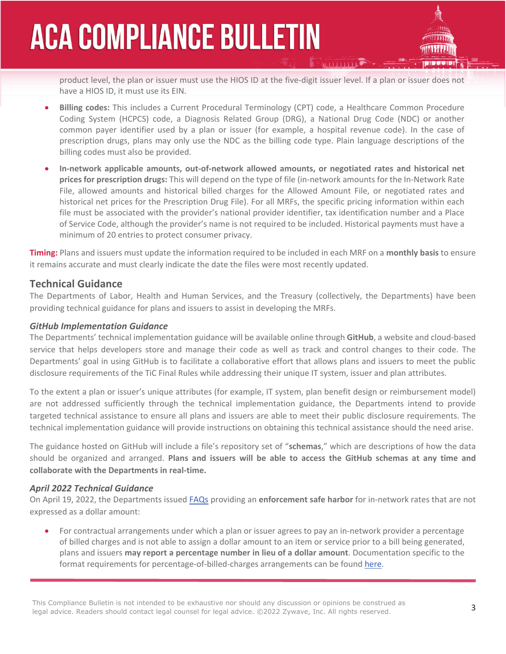## **ACA COMPLIANCE BULLETIN**



product level, the plan or issuer must use the HIOS ID at the five-digit issuer level. If a plan or issuer does not have a HIOS ID, it must use its EIN.

- **Billing codes:** This includes a Current Procedural Terminology (CPT) code, a Healthcare Common Procedure Coding System (HCPCS) code, a Diagnosis Related Group (DRG), a National Drug Code (NDC) or another common payer identifier used by a plan or issuer (for example, a hospital revenue code). In the case of prescription drugs, plans may only use the NDC as the billing code type. Plain language descriptions of the billing codes must also be provided.
- **In-network applicable amounts, out-of-network allowed amounts, or negotiated rates and historical net prices for prescription drugs:** This will depend on the type of file (in-network amounts for the In-Network Rate File, allowed amounts and historical billed charges for the Allowed Amount File, or negotiated rates and historical net prices for the Prescription Drug File). For all MRFs, the specific pricing information within each file must be associated with the provider's national provider identifier, tax identification number and a Place of Service Code, although the provider's name is not required to be included. Historical payments must have a minimum of 20 entries to protect consumer privacy.

**Timing:** Plans and issuers must update the information required to be included in each MRF on a **monthly basis** to ensure it remains accurate and must clearly indicate the date the files were most recently updated.

## **Technical Guidance**

The Departments of Labor, Health and Human Services, and the Treasury (collectively, the Departments) have been providing technical guidance for plans and issuers to assist in developing the MRFs.

#### *GitHub Implementation Guidance*

The Departments' technical implementation guidance will be available online through **GitHub**, a website and cloud-based service that helps developers store and manage their code as well as track and control changes to their code. The Departments' goal in using GitHub is to facilitate a collaborative effort that allows plans and issuers to meet the public disclosure requirements of the TiC Final Rules while addressing their unique IT system, issuer and plan attributes.

To the extent a plan or issuer's unique attributes (for example, IT system, plan benefit design or reimbursement model) are not addressed sufficiently through the technical implementation guidance, the Departments intend to provide targeted technical assistance to ensure all plans and issuers are able to meet their public disclosure requirements. The technical implementation guidance will provide instructions on obtaining this technical assistance should the need arise.

The guidance hosted on GitHub will include a file's repository set of "**schemas**," which are descriptions of how the data should be organized and arranged. **Plans and issuers will be able to access the GitHub schemas at any time and collaborate with the Departments in real-time.** 

#### *April 2022 Technical Guidance*

On April 19, 2022, the Departments issued FAQs providing an **enforcement safe harbor** for in-network rates that are not expressed as a dollar amount:

 For contractual arrangements under which a plan or issuer agrees to pay an in-network provider a percentage of billed charges and is not able to assign a dollar amount to an item or service prior to a bill being generated, plans and issuers **may report a percentage number in lieu of a dollar amount**. Documentation specific to the format requirements for percentage-of-billed-charges arrangements can be found here.